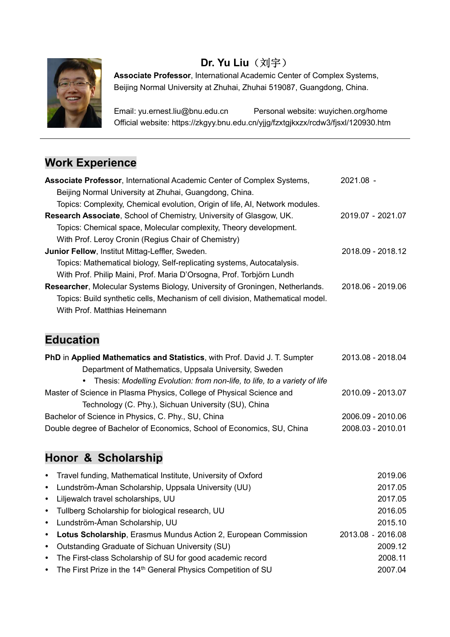

# Dr. Yu Liu (刘宇)

Associate Professor, International Academic Center of Complex Systems, Beijing Normal University at Zhuhai, Zhuhai 519087, Guangdong, China.

 Email: yu.ernest.liu@bnu.edu.cn Personal website: wuyichen.org/home Official website: https://zkgyy.bnu.edu.cn/yjjg/fzxtgjkxzx/rcdw3/fjsxl/120930.htm

### Work Experience

| Associate Professor, International Academic Center of Complex Systems,         | $2021.08 -$       |
|--------------------------------------------------------------------------------|-------------------|
| Beijing Normal University at Zhuhai, Guangdong, China.                         |                   |
| Topics: Complexity, Chemical evolution, Origin of life, AI, Network modules.   |                   |
| Research Associate, School of Chemistry, University of Glasgow, UK.            | 2019.07 - 2021.07 |
| Topics: Chemical space, Molecular complexity, Theory development.              |                   |
| With Prof. Leroy Cronin (Regius Chair of Chemistry)                            |                   |
| <b>Junior Fellow, Institut Mittag-Leffler, Sweden.</b>                         | 2018.09 - 2018.12 |
| Topics: Mathematical biology, Self-replicating systems, Autocatalysis.         |                   |
| With Prof. Philip Maini, Prof. Maria D'Orsogna, Prof. Torbjörn Lundh           |                   |
| Researcher, Molecular Systems Biology, University of Groningen, Netherlands.   | 2018.06 - 2019.06 |
| Topics: Build synthetic cells, Mechanism of cell division, Mathematical model. |                   |
| With Prof. Matthias Heinemann                                                  |                   |

# Education

| PhD in Applied Mathematics and Statistics, with Prof. David J. T. Sumpter   | 2013.08 - 2018.04 |
|-----------------------------------------------------------------------------|-------------------|
| Department of Mathematics, Uppsala University, Sweden                       |                   |
| • Thesis: Modelling Evolution: from non-life, to life, to a variety of life |                   |
| Master of Science in Plasma Physics, College of Physical Science and        | 2010.09 - 2013.07 |
| Technology (C. Phy.), Sichuan University (SU), China                        |                   |
| Bachelor of Science in Physics, C. Phy., SU, China                          | 2006.09 - 2010.06 |
| Double degree of Bachelor of Economics, School of Economics, SU, China      | 2008.03 - 2010.01 |

### Honor & Scholarship

| • Travel funding, Mathematical Institute, University of Oxford              | 2019.06           |
|-----------------------------------------------------------------------------|-------------------|
| • Lundström-Åman Scholarship, Uppsala University (UU)                       | 2017.05           |
| • Liljewalch travel scholarships, UU                                        | 2017.05           |
| • Tullberg Scholarship for biological research, UU                          | 2016.05           |
| • Lundström-Åman Scholarship, UU                                            | 2015.10           |
| • Lotus Scholarship, Erasmus Mundus Action 2, European Commission           | 2013.08 - 2016.08 |
| • Outstanding Graduate of Sichuan University (SU)                           | 2009.12           |
| • The First-class Scholarship of SU for good academic record                | 2008.11           |
| • The First Prize in the 14 <sup>th</sup> General Physics Competition of SU | 2007.04           |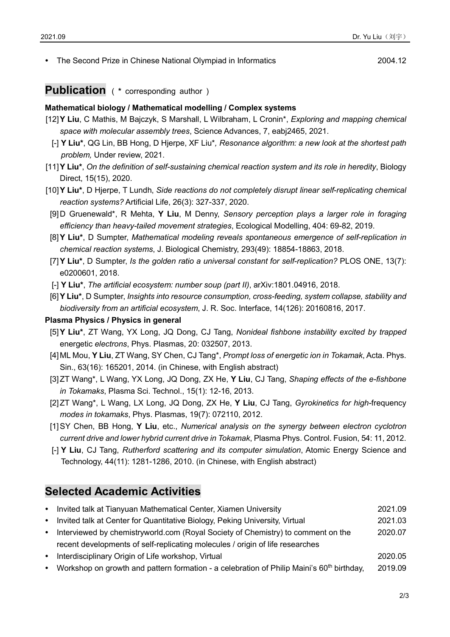• The Second Prize in Chinese National Olympiad in Informatics **2004** 2004.12

### Publication ( \* corresponding author )

#### Mathematical biology / Mathematical modelling / Complex systems

- [12] Y Liu, C Mathis, M Bajczyk, S Marshall, L Wilbraham, L Cronin\*, Exploring and mapping chemical space with molecular assembly trees, Science Advances, 7, eabj2465, 2021.
- [-] Y Liu\*, QG Lin, BB Hong, D Hjerpe, XF Liu\*, Resonance algorithm: a new look at the shortest path problem, Under review, 2021.
- [11] Y Liu\*, On the definition of self-sustaining chemical reaction system and its role in heredity, Biology Direct, 15(15), 2020.
- [10] Y Liu\*, D Hjerpe, T Lundh, Side reactions do not completely disrupt linear self-replicating chemical reaction systems? Artificial Life, 26(3): 327-337, 2020.
	- [9] D Gruenewald\*, R Mehta, Y Liu, M Denny, Sensory perception plays a larger role in foraging efficiency than heavy-tailed movement strategies, Ecological Modelling, 404: 69-82, 2019.
- [8] **Y Liu\***, D Sumpter, Mathematical modeling reveals spontaneous emergence of self-replication in chemical reaction systems, J. Biological Chemistry, 293(49): 18854-18863, 2018.
- [7] Y Liu\*, D Sumpter, Is the golden ratio a universal constant for self-replication? PLOS ONE, 13(7): e0200601, 2018.
- [-] Y Liu\*, The artificial ecosystem: number soup (part II), arXiv:1801.04916, 2018.
- [6] Y Liu\*, D Sumpter, Insights into resource consumption, cross-feeding, system collapse, stability and biodiversity from an artificial ecosystem, J. R. Soc. Interface, 14(126): 20160816, 2017.

#### Plasma Physics / Physics in general

- [5] **Y Liu\***, ZT Wang, YX Long, JQ Dong, CJ Tang, Nonideal fishbone instability excited by trapped energetic electrons, Phys. Plasmas, 20: 032507, 2013.
- [4] ML Mou, Y Liu, ZT Wang, SY Chen, CJ Tang\*, Prompt loss of energetic ion in Tokamak, Acta. Phys. Sin., 63(16): 165201, 2014. (in Chinese, with English abstract)
- [3] ZT Wang\*, L Wang, YX Long, JQ Dong, ZX He, Y Liu, CJ Tang, Shaping effects of the e-fishbone in Tokamaks, Plasma Sci. Technol., 15(1): 12-16, 2013.
- [2] ZT Wang\*, L Wang, LX Long, JQ Dong, ZX He, Y Liu, CJ Tang, Gyrokinetics for high-frequency modes in tokamaks, Phys. Plasmas, 19(7): 072110, 2012.
- [1] SY Chen, BB Hong, Y Liu, etc., Numerical analysis on the synergy between electron cyclotron current drive and lower hybrid current drive in Tokamak, Plasma Phys. Control. Fusion, 54: 11, 2012.
- [-] Y Liu, CJ Tang, Rutherford scattering and its computer simulation, Atomic Energy Science and Technology, 44(11): 1281-1286, 2010. (in Chinese, with English abstract)

#### Selected Academic Activities

| • Invited talk at Tianyuan Mathematical Center, Xiamen University                  | 2021.09 |
|------------------------------------------------------------------------------------|---------|
| • Invited talk at Center for Quantitative Biology, Peking University, Virtual      | 2021.03 |
| • Interviewed by chemistryworld.com (Royal Society of Chemistry) to comment on the | 2020.07 |
| recent developments of self-replicating molecules / origin of life researches      |         |
|                                                                                    |         |

- Interdisciplinary Origin of Life workshop, Virtual 2020.05
- Workshop on growth and pattern formation a celebration of Philip Maini's  $60<sup>th</sup>$  birthday, 2019.09